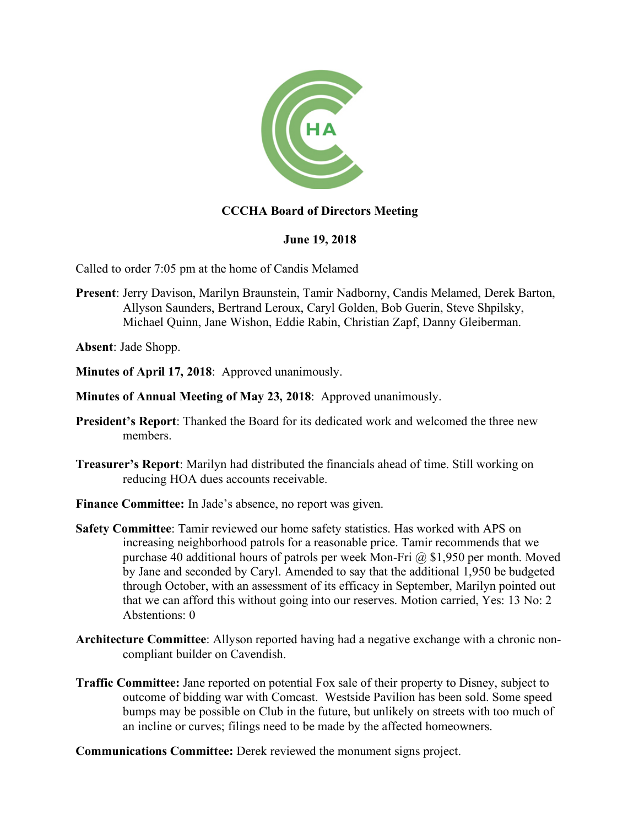

## **CCCHA Board of Directors Meeting**

## **June 19, 2018**

Called to order 7:05 pm at the home of Candis Melamed

**Present**: Jerry Davison, Marilyn Braunstein, Tamir Nadborny, Candis Melamed, Derek Barton, Allyson Saunders, Bertrand Leroux, Caryl Golden, Bob Guerin, Steve Shpilsky, Michael Quinn, Jane Wishon, Eddie Rabin, Christian Zapf, Danny Gleiberman.

**Absent**: Jade Shopp.

- **Minutes of April 17, 2018**: Approved unanimously.
- **Minutes of Annual Meeting of May 23, 2018**: Approved unanimously.
- **President's Report**: Thanked the Board for its dedicated work and welcomed the three new members.
- **Treasurer's Report**: Marilyn had distributed the financials ahead of time. Still working on reducing HOA dues accounts receivable.
- **Finance Committee:** In Jade's absence, no report was given.
- **Safety Committee**: Tamir reviewed our home safety statistics. Has worked with APS on increasing neighborhood patrols for a reasonable price. Tamir recommends that we purchase 40 additional hours of patrols per week Mon-Fri @ \$1,950 per month. Moved by Jane and seconded by Caryl. Amended to say that the additional 1,950 be budgeted through October, with an assessment of its efficacy in September, Marilyn pointed out that we can afford this without going into our reserves. Motion carried, Yes: 13 No: 2 Abstentions: 0
- **Architecture Committee**: Allyson reported having had a negative exchange with a chronic noncompliant builder on Cavendish.
- **Traffic Committee:** Jane reported on potential Fox sale of their property to Disney, subject to outcome of bidding war with Comcast. Westside Pavilion has been sold. Some speed bumps may be possible on Club in the future, but unlikely on streets with too much of an incline or curves; filings need to be made by the affected homeowners.

**Communications Committee:** Derek reviewed the monument signs project.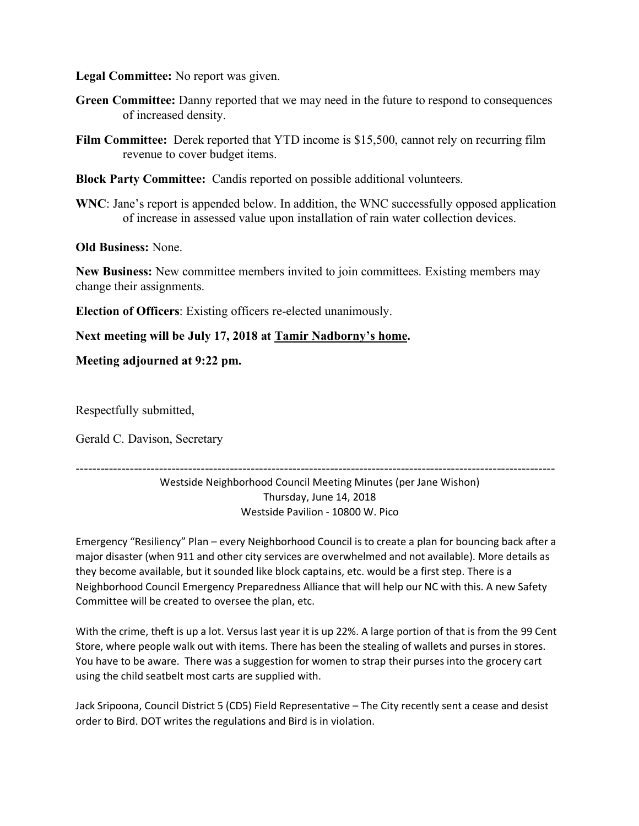**Legal Committee:** No report was given.

- **Green Committee:** Danny reported that we may need in the future to respond to consequences of increased density.
- **Film Committee:** Derek reported that YTD income is \$15,500, cannot rely on recurring film revenue to cover budget items.
- **Block Party Committee:** Candis reported on possible additional volunteers.
- **WNC**: Jane's report is appended below. In addition, the WNC successfully opposed application of increase in assessed value upon installation of rain water collection devices.

**Old Business:** None.

**New Business:** New committee members invited to join committees. Existing members may change their assignments.

**Election of Officers**: Existing officers re-elected unanimously.

**Next meeting will be July 17, 2018 at Tamir Nadborny's home.**

**Meeting adjourned at 9:22 pm.**

Respectfully submitted,

Gerald C. Davison, Secretary

-------------------------------------------------------------------------------------------------------------------

Westside Neighborhood Council Meeting Minutes (per Jane Wishon) Thursday, June 14, 2018 Westside Pavilion - 10800 W. Pico

Emergency "Resiliency" Plan – every Neighborhood Council is to create a plan for bouncing back after a major disaster (when 911 and other city services are overwhelmed and not available). More details as they become available, but it sounded like block captains, etc. would be a first step. There is a Neighborhood Council Emergency Preparedness Alliance that will help our NC with this. A new Safety Committee will be created to oversee the plan, etc.

With the crime, theft is up a lot. Versus last year it is up 22%. A large portion of that is from the 99 Cent Store, where people walk out with items. There has been the stealing of wallets and purses in stores. You have to be aware. There was a suggestion for women to strap their purses into the grocery cart using the child seatbelt most carts are supplied with.

Jack Sripoona, Council District 5 (CD5) Field Representative – The City recently sent a cease and desist order to Bird. DOT writes the regulations and Bird is in violation.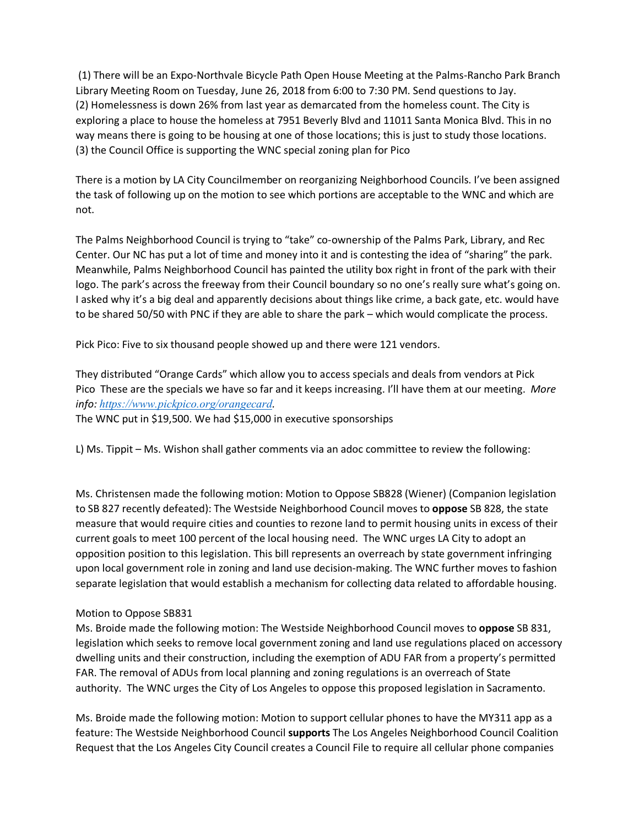(1) There will be an Expo-Northvale Bicycle Path Open House Meeting at the Palms-Rancho Park Branch Library Meeting Room on Tuesday, June 26, 2018 from 6:00 to 7:30 PM. Send questions to Jay. (2) Homelessness is down 26% from last year as demarcated from the homeless count. The City is exploring a place to house the homeless at 7951 Beverly Blvd and 11011 Santa Monica Blvd. This in no way means there is going to be housing at one of those locations; this is just to study those locations. (3) the Council Office is supporting the WNC special zoning plan for Pico

There is a motion by LA City Councilmember on reorganizing Neighborhood Councils. I've been assigned the task of following up on the motion to see which portions are acceptable to the WNC and which are not.

The Palms Neighborhood Council is trying to "take" co-ownership of the Palms Park, Library, and Rec Center. Our NC has put a lot of time and money into it and is contesting the idea of "sharing" the park. Meanwhile, Palms Neighborhood Council has painted the utility box right in front of the park with their logo. The park's across the freeway from their Council boundary so no one's really sure what's going on. I asked why it's a big deal and apparently decisions about things like crime, a back gate, etc. would have to be shared 50/50 with PNC if they are able to share the park – which would complicate the process.

Pick Pico: Five to six thousand people showed up and there were 121 vendors.

They distributed "Orange Cards" which allow you to access specials and deals from vendors at Pick Pico These are the specials we have so far and it keeps increasing. I'll have them at our meeting. *More info: https://www.pickpico.org/orangecard.*

The WNC put in \$19,500. We had \$15,000 in executive sponsorships

L) Ms. Tippit – Ms. Wishon shall gather comments via an adoc committee to review the following:

Ms. Christensen made the following motion: Motion to Oppose SB828 (Wiener) (Companion legislation to SB 827 recently defeated): The Westside Neighborhood Council moves to **oppose** SB 828, the state measure that would require cities and counties to rezone land to permit housing units in excess of their current goals to meet 100 percent of the local housing need. The WNC urges LA City to adopt an opposition position to this legislation. This bill represents an overreach by state government infringing upon local government role in zoning and land use decision-making. The WNC further moves to fashion separate legislation that would establish a mechanism for collecting data related to affordable housing.

## Motion to Oppose SB831

Ms. Broide made the following motion: The Westside Neighborhood Council moves to **oppose** SB 831, legislation which seeks to remove local government zoning and land use regulations placed on accessory dwelling units and their construction, including the exemption of ADU FAR from a property's permitted FAR. The removal of ADUs from local planning and zoning regulations is an overreach of State authority. The WNC urges the City of Los Angeles to oppose this proposed legislation in Sacramento.

Ms. Broide made the following motion: Motion to support cellular phones to have the MY311 app as a feature: The Westside Neighborhood Council **supports** The Los Angeles Neighborhood Council Coalition Request that the Los Angeles City Council creates a Council File to require all cellular phone companies